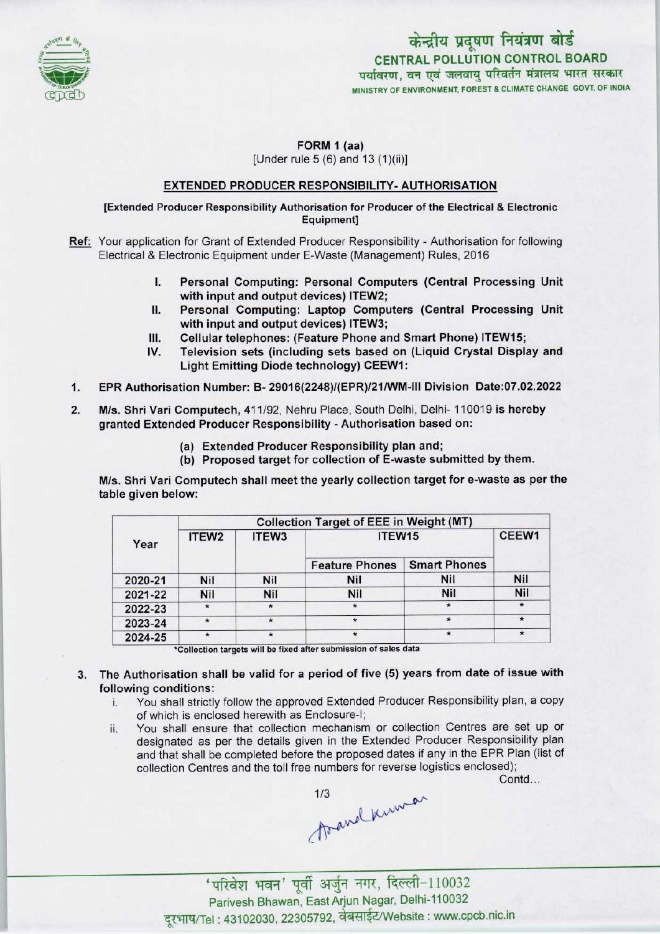

# केन्द्रीय प्रदूषण नियंत्रण बोर्ड CENTRAL POLLUTION CONTROL BOARDपर्यावरण, वन एवं जलवाय परिवर्तन मंत्रालय भारत सरकार MINISTRY OF ENVIRONMENT, FOREST & CLIMATE CHANGE GOVT. OF INDIA

# $FORM 1 (aa)$

[Under rule 5 (6) and 13 (1)(ii)]

### EXTENDED PRODUCER RESPONSIBILITY-AUTHORISATION

#### [Extended Producer Responsibility Authorisation for Producer ofthe Electrical & Electronic Equipment]

- Ref: Your application for Grant of Extended Producer Responsibility Authorisation for following Electrical & Electronic Equipment under E-Waste (Management) Rules, 2016
	- I. Personal Computing: Personal Computers (Central Processing Unit with input and output devices) ITEW2;
	- II. Personal Computing: Laptop Computers (Central Processing Unit with input and output devices) ITEW3; II. Personal Computing: Laptop Computers (Central Processin<br>with input and output devices) ITEW3;<br>III. Cellular telephones: (Feature Phone and Smart Phone) ITEW15;<br>IV. Television sets (including sets based on (Liquid Cryst
	-
- with input and output devices) ITEW3;<br>III. Cellular telephones: (Feature Phone and Smart Phone) ITEW15;<br>IV. Television sets (including sets based on (Liquid Crystal Display and<br>Light Emitting Diode technology) CEEW1: Television sets (including sets based on (Liquid Crystal Display and Light Emitting Diode technology) CEEW1: 1V. Television sets (including sets based on (Liquid Crystal Display and<br>Light Emitting Diode technology) CEEW1:<br>1. EPR Authorisation Number: B- 29016(2248)/(EPR)/21/WM-III Division Date:07.02.2022
- 
- 2.M/s. Shri Vari Computech, 411/92, Nehru Place, South Delhi, Delhi-110019 is hereby granted Extended Producer Responsibility - Authorisation based on:
	- (a)Extended Producer Responsibility plan and;
	- (b) Proposed target for collection of E-waste submitted by them.

M/s. Shri Vari Computech shall meet the yearly collection target for e-waste as per the table given below:

| Year    | <b>Collection Target of EEE in Weight (MT)</b> |            |                       |                     |            |
|---------|------------------------------------------------|------------|-----------------------|---------------------|------------|
|         | ITEW <sub>2</sub>                              | ITEW3      | ITEW15                |                     | CEEW1      |
|         |                                                |            | <b>Feature Phones</b> | <b>Smart Phones</b> |            |
| 2020-21 | Nil                                            | <b>Nil</b> | <b>Nil</b>            | Nil                 | <b>Nil</b> |
| 2021-22 | Nil                                            | Nil        | Nil                   | <b>Nil</b>          | Nil        |
| 2022-23 | $\star$                                        |            |                       |                     | $\star$    |
| 2023-24 | $\star$                                        | $\star$    |                       |                     | $\star$    |
| 2024-25 |                                                | $\star$    |                       |                     | $\star$    |

\*Collection targets will be fixed after submission of sales data

- 3. The Authorisation shall be valid for a period of five (5) years from date of issue with following conditions:
	- You shall strictly follow the approved Extended Producer Responsibility plan, a copy of which is enclosed herewith as Enclosure-I;
	- ii. You shall ensure that collection mechanism or collection Centres are set up or designated as per the details given in the Extended Producer Responsibility plan and that shall be completed before the proposed dates if any in the EPR Plan (list of collection Centres and the toll free numbers for reverse logistics enclosed);

Contd...

Asand Known

-<br>वन' पूर्वी अर्जुन नगर, दिल्ली-110032 Parivesh Bhawan, East Arjun Nagar, Delhi-110032 दूरभाष/Tel: 43102030, 22305792, वेबसाईट/Website : www.cpcb.nic.in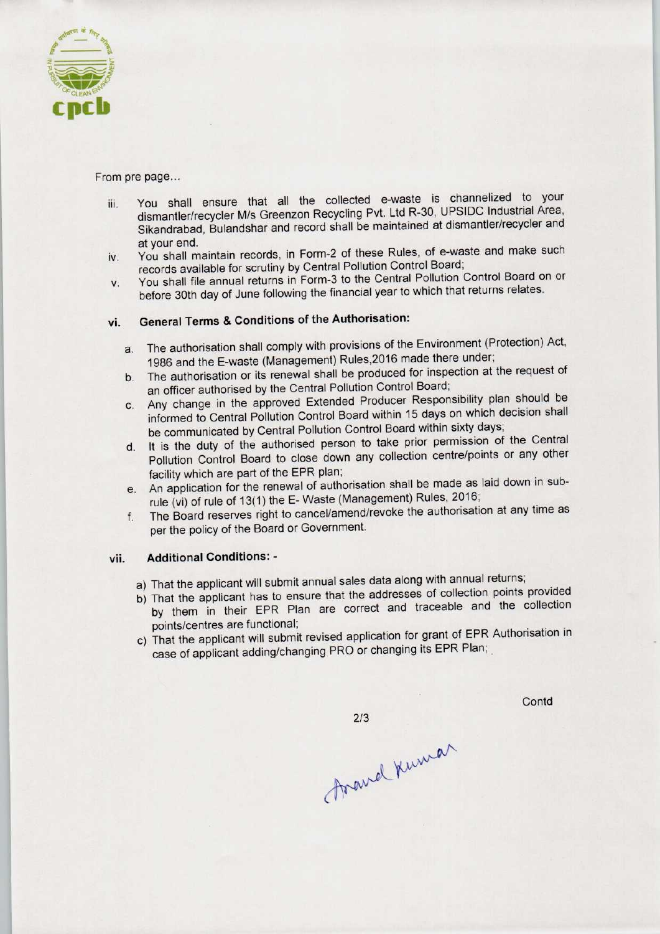

#### From pre page...

- iii. You shall ensure that all the collected e-waste is channelized to your dismantler/recycler M/s Greenzon Recycling Pvt. Ltd R-30, UPSIDC Industrial Area, Sikandrabad, Bulandshar and record shall be maintained at dismantler/recycler and at your end.
- iv. You shall maintain records, in Form-2 of these Rules, of e-waste and make such records available for scrutiny by Central Pollution Control Board;
- v. You shall file annual returns in Form-3 to the Central Pollution Control Board on or before 30th day of June following the financial year to which that returns relates.

# vi. General Terms & Conditions of the Authorisation:

- a. The authorisation shall comply with provisions of the Environment (Protection) Act, 1986 and the E-waste (Management) Rules, 2016 made there under;
- b.The authorisation or its renewal shall be produced for inspection at the request of an officer authorised by the Central Pollution Control Board;
- c.Any change in the approved Extended Producer Responsibility plan should be informed to Central Pollution Control Board within 15 days on which decision shall be communicated by Central Pollution Control Board within sixty days;
- d. It is the duty of the authorised person to take prior permission of the Central Pollution Control Board to close down any collection centre/points or any other facility which are part of the EPR plan;
- e.An application for the renewal of authorisation shall be made as laid down in subrule (vi) of rule of 13(1) the E-Waste (Management) Rules, 2016;
- f. The Board reserves right to cancel/amend/revoke the authorisation at any time as per the policy of the Board or Government.

### vii. Additional Conditions: -

- a) That the applicant will submit annual sales data along with annual returns;
- b)That the applicant has to ensure that the addresses of collection points provided by them in their EPR Plan are correct and traceable and the collection points/centres are functional;
- c) That the applicant will submit revised application for grant of EPR Authorisation in case of applicant adding/changing PRO or changing its EPR Plan;

 $2/3$ 

Contd

foraved Kumar